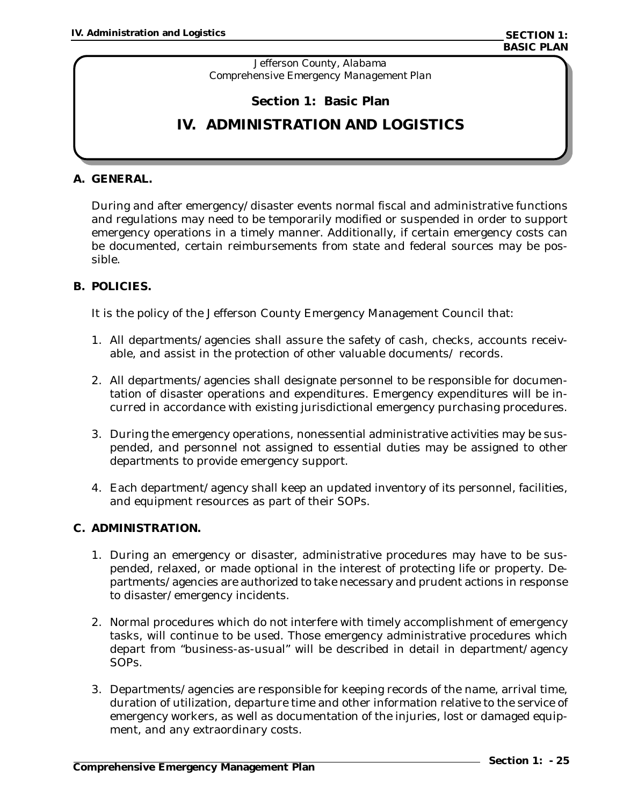*Jefferson County, Alabama Comprehensive Emergency Management Plan*

# **Section 1: Basic Plan**

# **IV. ADMINISTRATION AND LOGISTICS**

#### **A. GENERAL.**

During and after emergency/disaster events normal fiscal and administrative functions and regulations may need to be temporarily modified or suspended in order to support emergency operations in a timely manner. Additionally, if certain emergency costs can be documented, certain reimbursements from state and federal sources may be possible.

#### **B. POLICIES.**

It is the policy of the Jefferson County Emergency Management Council that:

- 1. All departments/agencies shall assure the safety of cash, checks, accounts receivable, and assist in the protection of other valuable documents/ records.
- 2. All departments/agencies shall designate personnel to be responsible for documentation of disaster operations and expenditures. Emergency expenditures will be incurred in accordance with existing jurisdictional emergency purchasing procedures.
- 3. During the emergency operations, nonessential administrative activities may be suspended, and personnel not assigned to essential duties may be assigned to other departments to provide emergency support.
- 4. Each department/agency shall keep an updated inventory of its personnel, facilities, and equipment resources as part of their SOPs.

#### **C. ADMINISTRATION.**

- 1. During an emergency or disaster, administrative procedures may have to be suspended, relaxed, or made optional in the interest of protecting life or property. Departments/agencies are authorized to take necessary and prudent actions in response to disaster/emergency incidents.
- 2. Normal procedures which do not interfere with timely accomplishment of emergency tasks, will continue to be used. Those emergency administrative procedures which depart from "business-as-usual" will be described in detail in department/agency SOPs.
- 3. Departments/agencies are responsible for keeping records of the name, arrival time, duration of utilization, departure time and other information relative to the service of emergency workers, as well as documentation of the injuries, lost or damaged equipment, and any extraordinary costs.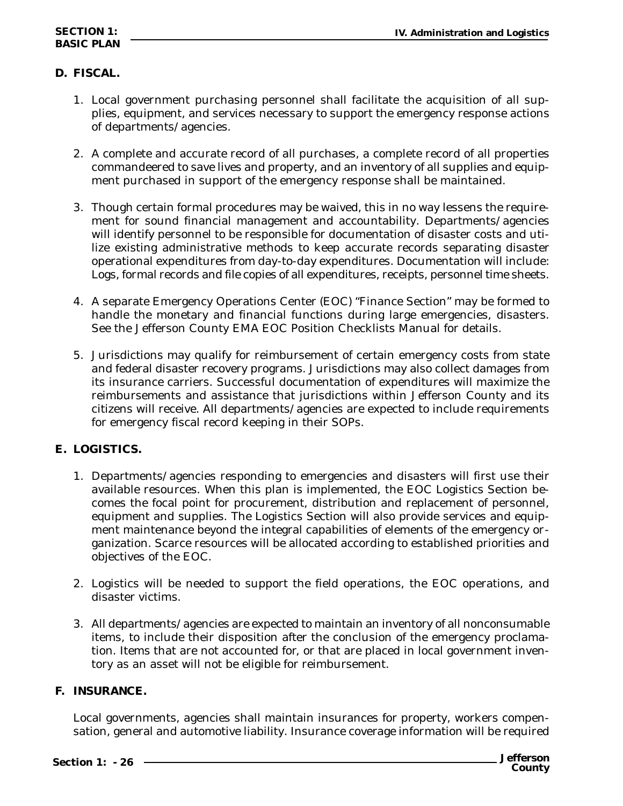# **BASIC PLAN**

# **D. FISCAL.**

- 1. Local government purchasing personnel shall facilitate the acquisition of all supplies, equipment, and services necessary to support the emergency response actions of departments/agencies.
- 2. A complete and accurate record of all purchases, a complete record of all properties commandeered to save lives and property, and an inventory of all supplies and equipment purchased in support of the emergency response shall be maintained.
- 3. Though certain formal procedures may be waived, this in no way lessens the requirement for sound financial management and accountability. Departments/agencies will identify personnel to be responsible for documentation of disaster costs and utilize existing administrative methods to keep accurate records separating disaster operational expenditures from day-to-day expenditures. Documentation will include: Logs, formal records and file copies of all expenditures, receipts, personnel time sheets.
- 4. A separate Emergency Operations Center (EOC) "Finance Section" may be formed to handle the monetary and financial functions during large emergencies, disasters. See the Jefferson County EMA EOC Position Checklists Manual for details.
- 5. Jurisdictions may qualify for reimbursement of certain emergency costs from state and federal disaster recovery programs. Jurisdictions may also collect damages from its insurance carriers. Successful documentation of expenditures will maximize the reimbursements and assistance that jurisdictions within Jefferson County and its citizens will receive. All departments/agencies are expected to include requirements for emergency fiscal record keeping in their SOPs.

# **E. LOGISTICS.**

- 1. Departments/agencies responding to emergencies and disasters will first use their available resources. When this plan is implemented, the EOC Logistics Section becomes the focal point for procurement, distribution and replacement of personnel, equipment and supplies. The Logistics Section will also provide services and equipment maintenance beyond the integral capabilities of elements of the emergency organization. Scarce resources will be allocated according to established priorities and objectives of the EOC.
- 2. Logistics will be needed to support the field operations, the EOC operations, and disaster victims.
- 3. All departments/agencies are expected to maintain an inventory of all nonconsumable items, to include their disposition after the conclusion of the emergency proclamation. Items that are not accounted for, or that are placed in local government inventory as an asset will not be eligible for reimbursement.

# **F. INSURANCE.**

Local governments, agencies shall maintain insurances for property, workers compensation, general and automotive liability. Insurance coverage information will be required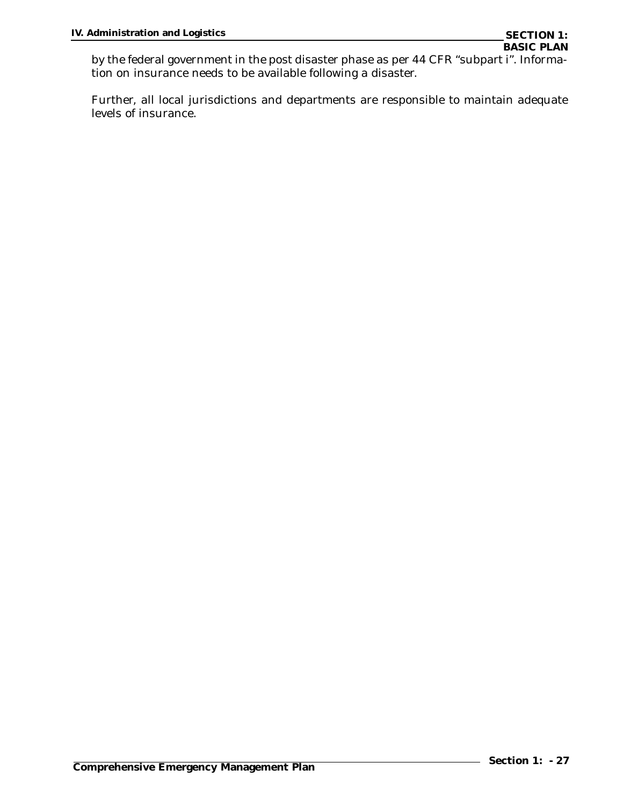by the federal government in the post disaster phase as per 44 CFR "subpart i". Information on insurance needs to be available following a disaster.

Further, all local jurisdictions and departments are responsible to maintain adequate levels of insurance.